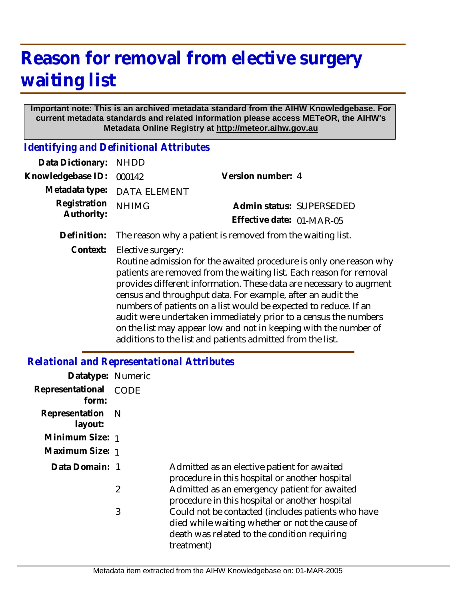# **Reason for removal from elective surgery waiting list**

### **Important note: This is an archived metadata standard from the AIHW Knowledgebase. For current metadata standards and related information please access METeOR, the AIHW's Metadata Online Registry at http://meteor.aihw.gov.au**

*Identifying and Definitional Attributes*

| Data Dictionary: NHDD      |                                                                                                                                                                |                           |
|----------------------------|----------------------------------------------------------------------------------------------------------------------------------------------------------------|---------------------------|
| Knowledgebase ID:          | 000142                                                                                                                                                         | Version number: 4         |
|                            | Metadata type: DATA ELEMENT                                                                                                                                    |                           |
| Registration<br>Authority: | <b>NHIMG</b>                                                                                                                                                   | Admin status: SUPERSEDED  |
|                            |                                                                                                                                                                | Effective date: 01-MAR-05 |
| Definition:                | The reason why a patient is removed from the waiting list.                                                                                                     |                           |
| Context:                   | Elective surgery:<br>Routine admission for the awaited procedure is only one reason why<br>patients are removed from the waiting list. Each reason for removal |                           |

patients are removed from the waiting list. Each reason for removal provides different information. These data are necessary to augment census and throughput data. For example, after an audit the numbers of patients on a list would be expected to reduce. If an audit were undertaken immediately prior to a census the numbers on the list may appear low and not in keeping with the number of additions to the list and patients admitted from the list.

## *Relational and Representational Attributes*

| Datatype: Numeric<br>Representational<br>form: | <b>CODE</b> |                                                                                                                                                                    |
|------------------------------------------------|-------------|--------------------------------------------------------------------------------------------------------------------------------------------------------------------|
| Representation<br>layout:                      | - N         |                                                                                                                                                                    |
| Minimum Size: 1                                |             |                                                                                                                                                                    |
| Maximum Size: 1                                |             |                                                                                                                                                                    |
| Data Domain: 1                                 |             | Admitted as an elective patient for awaited<br>procedure in this hospital or another hospital                                                                      |
|                                                | 2           | Admitted as an emergency patient for awaited<br>procedure in this hospital or another hospital                                                                     |
|                                                | 3           | Could not be contacted (includes patients who have<br>died while waiting whether or not the cause of<br>death was related to the condition requiring<br>treatment) |